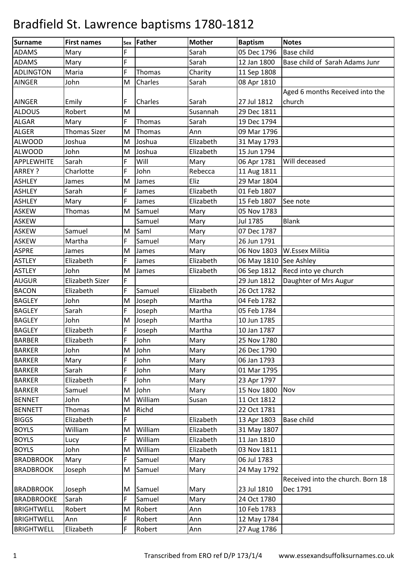| Surname           | <b>First names</b>     |   | Sex Father     | <b>Mother</b> | <b>Baptism</b> | <b>Notes</b>                      |
|-------------------|------------------------|---|----------------|---------------|----------------|-----------------------------------|
| <b>ADAMS</b>      | Mary                   | F |                | Sarah         | 05 Dec 1796    | <b>Base child</b>                 |
| <b>ADAMS</b>      | Mary                   | F |                | Sarah         | 12 Jan 1800    | Base child of Sarah Adams Junr    |
| <b>ADLINGTON</b>  | Maria                  | F | Thomas         | Charity       | 11 Sep 1808    |                                   |
| <b>AINGER</b>     | John                   | M | <b>Charles</b> | Sarah         | 08 Apr 1810    |                                   |
|                   |                        |   |                |               |                | Aged 6 months Received into the   |
| <b>AINGER</b>     | Emily                  | F | Charles        | Sarah         | 27 Jul 1812    | church                            |
| <b>ALDOUS</b>     | Robert                 | M |                | Susannah      | 29 Dec 1811    |                                   |
| <b>ALGAR</b>      | Mary                   | F | Thomas         | Sarah         | 19 Dec 1794    |                                   |
| <b>ALGER</b>      | <b>Thomas Sizer</b>    | M | Thomas         | Ann           | 09 Mar 1796    |                                   |
| <b>ALWOOD</b>     | Joshua                 | M | Joshua         | Elizabeth     | 31 May 1793    |                                   |
| <b>ALWOOD</b>     | John                   | M | Joshua         | Elizabeth     | 15 Jun 1794    |                                   |
| <b>APPLEWHITE</b> | Sarah                  | F | Will           | Mary          | 06 Apr 1781    | Will deceased                     |
| ARREY ?           | Charlotte              | F | John           | Rebecca       | 11 Aug 1811    |                                   |
| <b>ASHLEY</b>     | James                  | M | James          | Eliz          | 29 Mar 1804    |                                   |
| <b>ASHLEY</b>     | Sarah                  | F | James          | Elizabeth     | 01 Feb 1807    |                                   |
| <b>ASHLEY</b>     | Mary                   | F | James          | Elizabeth     | 15 Feb 1807    | See note                          |
| <b>ASKEW</b>      | Thomas                 | M | Samuel         | Mary          | 05 Nov 1783    |                                   |
| <b>ASKEW</b>      |                        |   | Samuel         | Mary          | Jul 1785       | <b>Blank</b>                      |
| <b>ASKEW</b>      | Samuel                 | M | Saml           | Mary          | 07 Dec 1787    |                                   |
| <b>ASKEW</b>      | Martha                 | F | Samuel         | Mary          | 26 Jun 1791    |                                   |
| <b>ASPRE</b>      | James                  | M | James          | Mary          | 06 Nov 1803    | W.Essex Militia                   |
| <b>ASTLEY</b>     | Elizabeth              | F | James          | Elizabeth     | 06 May 1810    | See Ashley                        |
| <b>ASTLEY</b>     | John                   | M | James          | Elizabeth     | 06 Sep 1812    | Recd into ye church               |
| <b>AUGUR</b>      | <b>Elizabeth Sizer</b> | F |                |               | 29 Jun 1812    | Daughter of Mrs Augur             |
| <b>BACON</b>      | Elizabeth              | F | Samuel         | Elizabeth     | 26 Oct 1782    |                                   |
| <b>BAGLEY</b>     | John                   | M | Joseph         | Martha        | 04 Feb 1782    |                                   |
| <b>BAGLEY</b>     | Sarah                  | F | Joseph         | Martha        | 05 Feb 1784    |                                   |
| <b>BAGLEY</b>     | John                   | M | Joseph         | Martha        | 10 Jun 1785    |                                   |
| <b>BAGLEY</b>     | Elizabeth              | F | Joseph         | Martha        | 10 Jan 1787    |                                   |
| <b>BARBER</b>     | Elizabeth              | F | John           | Mary          | 25 Nov 1780    |                                   |
| <b>BARKER</b>     | John                   | M | John           | Mary          | 26 Dec 1790    |                                   |
| <b>BARKER</b>     | Mary                   | F | John           | Mary          | 06 Jan 1793    |                                   |
| <b>BARKER</b>     | Sarah                  | F | John           | Mary          | 01 Mar 1795    |                                   |
| <b>BARKER</b>     | Elizabeth              | F | John           | Mary          | 23 Apr 1797    |                                   |
| <b>BARKER</b>     | Samuel                 | M | John           | Mary          | 15 Nov 1800    | Nov                               |
| <b>BENNET</b>     | John                   | M | William        | Susan         | 11 Oct 1812    |                                   |
| <b>BENNETT</b>    | Thomas                 | M | Richd          |               | 22 Oct 1781    |                                   |
| <b>BIGGS</b>      | Elizabeth              | F |                | Elizabeth     | 13 Apr 1803    | Base child                        |
| <b>BOYLS</b>      | William                | M | William        | Elizabeth     | 31 May 1807    |                                   |
| <b>BOYLS</b>      | Lucy                   | F | William        | Elizabeth     | 11 Jan 1810    |                                   |
| <b>BOYLS</b>      | John                   | M | William        | Elizabeth     | 03 Nov 1811    |                                   |
| <b>BRADBROOK</b>  | Mary                   | F | Samuel         | Mary          | 06 Jul 1783    |                                   |
| <b>BRADBROOK</b>  | Joseph                 | M | Samuel         | Mary          | 24 May 1792    |                                   |
|                   |                        |   |                |               |                | Received into the church. Born 18 |
| <b>BRADBROOK</b>  | Joseph                 | M | Samuel         | Mary          | 23 Jul 1810    | Dec 1791                          |
| <b>BRADBROOKE</b> | Sarah                  | F | Samuel         | Mary          | 24 Oct 1780    |                                   |
| <b>BRIGHTWELL</b> | Robert                 | M | Robert         | Ann           | 10 Feb 1783    |                                   |
| <b>BRIGHTWELL</b> | Ann                    | F | Robert         | Ann           | 12 May 1784    |                                   |
| <b>BRIGHTWELL</b> | Elizabeth              | F | Robert         | Ann           | 27 Aug 1786    |                                   |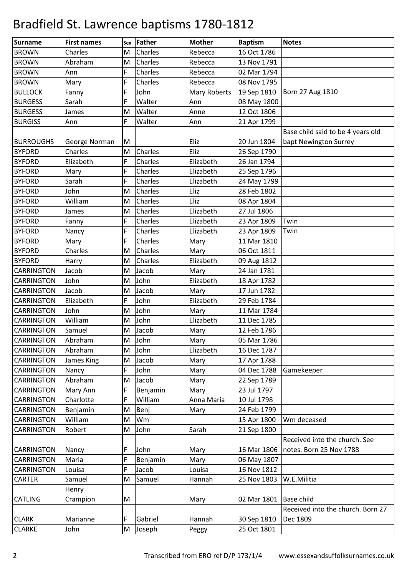| <b>Surname</b>    | <b>First names</b> | Sex       | Father   | <b>Mother</b>       | <b>Baptism</b> | <b>Notes</b>                      |
|-------------------|--------------------|-----------|----------|---------------------|----------------|-----------------------------------|
| <b>BROWN</b>      | Charles            | M         | Charles  | Rebecca             | 16 Oct 1786    |                                   |
| <b>BROWN</b>      | Abraham            | M         | Charles  | Rebecca             | 13 Nov 1791    |                                   |
| <b>BROWN</b>      | Ann                | F         | Charles  | Rebecca             | 02 Mar 1794    |                                   |
| <b>BROWN</b>      | Mary               | F         | Charles  | Rebecca             | 08 Nov 1795    |                                   |
| <b>BULLOCK</b>    | Fanny              | F         | John     | <b>Mary Roberts</b> | 19 Sep 1810    | Born 27 Aug 1810                  |
| <b>BURGESS</b>    | Sarah              | F         | Walter   | Ann                 | 08 May 1800    |                                   |
| <b>BURGESS</b>    | James              | M         | Walter   | Anne                | 12 Oct 1806    |                                   |
| <b>BURGISS</b>    | Ann                | F         | Walter   | Ann                 | 21 Apr 1799    |                                   |
|                   |                    |           |          |                     |                | Base child said to be 4 years old |
| <b>BURROUGHS</b>  | George Norman      | M         |          | Eliz                | 20 Jun 1804    | bapt Newington Surrey             |
| <b>BYFORD</b>     | Charles            | M         | Charles  | Eliz                | 26 Sep 1790    |                                   |
| <b>BYFORD</b>     | Elizabeth          | F         | Charles  | Elizabeth           | 26 Jan 1794    |                                   |
| <b>BYFORD</b>     | Mary               | F         | Charles  | Elizabeth           | 25 Sep 1796    |                                   |
| <b>BYFORD</b>     | Sarah              | F         | Charles  | Elizabeth           | 24 May 1799    |                                   |
| <b>BYFORD</b>     | John               | M         | Charles  | Eliz                | 28 Feb 1802    |                                   |
| <b>BYFORD</b>     | William            | M         | Charles  | Eliz                | 08 Apr 1804    |                                   |
| <b>BYFORD</b>     | James              | M         | Charles  | Elizabeth           | 27 Jul 1806    |                                   |
| <b>BYFORD</b>     | Fanny              | F         | Charles  | Elizabeth           | 23 Apr 1809    | Twin                              |
| <b>BYFORD</b>     | Nancy              | F         | Charles  | Elizabeth           | 23 Apr 1809    | Twin                              |
| <b>BYFORD</b>     | Mary               | F         | Charles  | Mary                | 11 Mar 1810    |                                   |
| <b>BYFORD</b>     | Charles            | M         | Charles  | Mary                | 06 Oct 1811    |                                   |
| <b>BYFORD</b>     | Harry              | M         | Charles  | Elizabeth           | 09 Aug 1812    |                                   |
| <b>CARRINGTON</b> | Jacob              | M         | Jacob    | Mary                | 24 Jan 1781    |                                   |
| <b>CARRINGTON</b> | John               | M         | John     | Elizabeth           | 18 Apr 1782    |                                   |
| <b>CARRINGTON</b> | Jacob              | M         | Jacob    | Mary                | 17 Jun 1782    |                                   |
| <b>CARRINGTON</b> | Elizabeth          | F         | John     | Elizabeth           | 29 Feb 1784    |                                   |
| <b>CARRINGTON</b> | John               | M         | John     | Mary                | 11 Mar 1784    |                                   |
| <b>CARRINGTON</b> | William            | M         | John     | Elizabeth           | 11 Dec 1785    |                                   |
| <b>CARRINGTON</b> | Samuel             | M         | Jacob    | Mary                | 12 Feb 1786    |                                   |
| <b>CARRINGTON</b> | Abraham            | ${\sf M}$ | John     | Mary                | 05 Mar 1786    |                                   |
| CARRINGTON        | Abraham            | M         | John     | Elizabeth           | 16 Dec 1787    |                                   |
| <b>CARRINGTON</b> | James King         | M         | Jacob    | Mary                | 17 Apr 1788    |                                   |
| <b>CARRINGTON</b> | Nancy              | F         | John     | Mary                | 04 Dec 1788    | Gamekeeper                        |
| <b>CARRINGTON</b> | Abraham            | M         | Jacob    | Mary                | 22 Sep 1789    |                                   |
| CARRINGTON        | Mary Ann           | F         | Benjamin | Mary                | 23 Jul 1797    |                                   |
| CARRINGTON        | Charlotte          | F         | William  | Anna Maria          | 10 Jul 1798    |                                   |
| CARRINGTON        | Benjamin           | M         | Benj     | Mary                | 24 Feb 1799    |                                   |
| <b>CARRINGTON</b> | William            | M         | Wm       |                     | 15 Apr 1800    | Wm deceased                       |
| <b>CARRINGTON</b> | Robert             | M         | John     | Sarah               | 21 Sep 1800    |                                   |
|                   |                    |           |          |                     |                | Received into the church. See     |
| <b>CARRINGTON</b> | Nancy              | F         | John     | Mary                | 16 Mar 1806    | notes. Born 25 Nov 1788           |
| <b>CARRINGTON</b> | Maria              | F         | Benjamin | Mary                | 06 May 1807    |                                   |
| <b>CARRINGTON</b> | Louisa             | F         | Jacob    | Louisa              | 16 Nov 1812    |                                   |
| <b>CARTER</b>     | Samuel             | M         | Samuel   | Hannah              | 25 Nov 1803    | W.E.Militia                       |
|                   | Henry              |           |          |                     |                |                                   |
| <b>CATLING</b>    | Crampion           | M         |          | Mary                | 02 Mar 1801    | <b>Base child</b>                 |
|                   |                    |           |          |                     |                | Received into the church. Born 27 |
| <b>CLARK</b>      | Marianne           | F         | Gabriel  | Hannah              | 30 Sep 1810    | Dec 1809                          |
| <b>CLARKE</b>     | John               | M         | Joseph   | Peggy               | 25 Oct 1801    |                                   |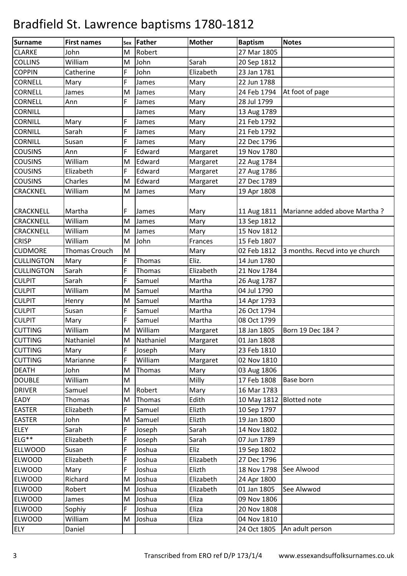| Surname           | <b>First names</b> | Sex | Father    | <b>Mother</b> | <b>Baptism</b> | <b>Notes</b>                   |
|-------------------|--------------------|-----|-----------|---------------|----------------|--------------------------------|
| <b>CLARKE</b>     | John               | M   | Robert    |               | 27 Mar 1805    |                                |
| <b>COLLINS</b>    | William            | M   | John      | Sarah         | 20 Sep 1812    |                                |
| <b>COPPIN</b>     | Catherine          | F   | John      | Elizabeth     | 23 Jan 1781    |                                |
| <b>CORNELL</b>    | Mary               | F   | James     | Mary          | 22 Jun 1788    |                                |
| <b>CORNELL</b>    | James              | M   | James     | Mary          | 24 Feb 1794    | At foot of page                |
| <b>CORNELL</b>    | Ann                | F   | James     | Mary          | 28 Jul 1799    |                                |
| <b>CORNILL</b>    |                    |     | James     | Mary          | 13 Aug 1789    |                                |
| <b>CORNILL</b>    | Mary               | F   | James     | Mary          | 21 Feb 1792    |                                |
| <b>CORNILL</b>    | Sarah              | F   | James     | Mary          | 21 Feb 1792    |                                |
| <b>CORNILL</b>    | Susan              | F   | James     | Mary          | 22 Dec 1796    |                                |
| <b>COUSINS</b>    | Ann                | F   | Edward    | Margaret      | 19 Nov 1780    |                                |
| <b>COUSINS</b>    | William            | M   | Edward    | Margaret      | 22 Aug 1784    |                                |
| <b>COUSINS</b>    | Elizabeth          | F   | Edward    | Margaret      | 27 Aug 1786    |                                |
| <b>COUSINS</b>    | Charles            | M   | Edward    | Margaret      | 27 Dec 1789    |                                |
| <b>CRACKNEL</b>   | William            | M   | James     | Mary          | 19 Apr 1808    |                                |
|                   |                    |     |           |               |                |                                |
| <b>CRACKNELL</b>  | Martha             | F   | James     | Mary          | 11 Aug 1811    | Marianne added above Martha?   |
| <b>CRACKNELL</b>  | William            | M   | James     | Mary          | 13 Sep 1812    |                                |
| <b>CRACKNELL</b>  | William            | M   | James     | Mary          | 15 Nov 1812    |                                |
| <b>CRISP</b>      | William            | M   | John      | Frances       | 15 Feb 1807    |                                |
| <b>CUDMORE</b>    | Thomas Crouch      | M   |           | Mary          | 02 Feb 1812    | 3 months. Recvd into ye church |
| <b>CULLINGTON</b> | Mary               | F   | Thomas    | Eliz.         | 14 Jun 1780    |                                |
| <b>CULLINGTON</b> | Sarah              | F   | Thomas    | Elizabeth     | 21 Nov 1784    |                                |
| <b>CULPIT</b>     | Sarah              | F   | Samuel    | Martha        | 26 Aug 1787    |                                |
| <b>CULPIT</b>     | William            | M   | Samuel    | Martha        | 04 Jul 1790    |                                |
| <b>CULPIT</b>     | Henry              | M   | Samuel    | Martha        | 14 Apr 1793    |                                |
| <b>CULPIT</b>     | Susan              | F   | Samuel    | Martha        | 26 Oct 1794    |                                |
| <b>CULPIT</b>     | Mary               | F   | Samuel    | Martha        | 08 Oct 1799    |                                |
| <b>CUTTING</b>    | William            | M   | William   | Margaret      | 18 Jan 1805    | Born 19 Dec 184 ?              |
| <b>CUTTING</b>    | Nathaniel          | M   | Nathaniel | Margaret      | 01 Jan 1808    |                                |
| <b>CUTTING</b>    | Mary               | F   | Joseph    | Mary          | 23 Feb 1810    |                                |
| <b>CUTTING</b>    | Marianne           | F   | William   | Margaret      | 02 Nov 1810    |                                |
| <b>DEATH</b>      | John               | M   | Thomas    | Mary          | 03 Aug 1806    |                                |
| <b>DOUBLE</b>     | William            | M   |           | Milly         | 17 Feb 1808    | Base born                      |
| <b>DRIVER</b>     | Samuel             | M   | Robert    | Mary          | 16 Mar 1783    |                                |
| <b>EADY</b>       | Thomas             | M   | Thomas    | Edith         | 10 May 1812    | <b>Blotted</b> note            |
| <b>EASTER</b>     | Elizabeth          | F   | Samuel    | Elizth        | 10 Sep 1797    |                                |
| <b>EASTER</b>     | John               | M   | Samuel    | Elizth        | 19 Jan 1800    |                                |
| <b>ELEY</b>       | Sarah              | F   | Joseph    | Sarah         | 14 Nov 1802    |                                |
| ELG**             | Elizabeth          | F   | Joseph    | Sarah         | 07 Jun 1789    |                                |
| <b>ELLWOOD</b>    | Susan              | F   | Joshua    | Eliz          | 19 Sep 1802    |                                |
| <b>ELWOOD</b>     | Elizabeth          | F   | Joshua    | Elizabeth     | 27 Dec 1796    |                                |
| <b>ELWOOD</b>     | Mary               | F   | Joshua    | Elizth        | 18 Nov 1798    | See Alwood                     |
| <b>ELWOOD</b>     | Richard            | M   | Joshua    | Elizabeth     | 24 Apr 1800    |                                |
| <b>ELWOOD</b>     | Robert             | M   | Joshua    | Elizabeth     | 01 Jan 1805    | See Alwwod                     |
| <b>ELWOOD</b>     | James              | M   | Joshua    | Eliza         | 09 Nov 1806    |                                |
| <b>ELWOOD</b>     | Sophiy             | F   | Joshua    | Eliza         | 20 Nov 1808    |                                |
| <b>ELWOOD</b>     | William            | M   | Joshua    | Eliza         | 04 Nov 1810    |                                |
| <b>ELY</b>        | Daniel             |     |           |               | 24 Oct 1805    | An adult person                |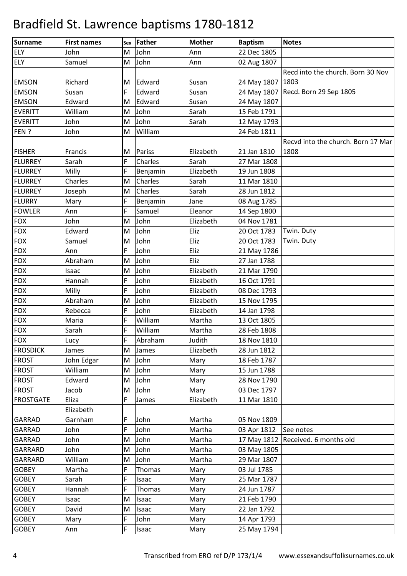| Surname          | <b>First names</b> |             | sex Father | <b>Mother</b> | <b>Baptism</b> | <b>Notes</b>                       |
|------------------|--------------------|-------------|------------|---------------|----------------|------------------------------------|
| <b>ELY</b>       | John               | M           | John       | Ann           | 22 Dec 1805    |                                    |
| <b>ELY</b>       | Samuel             | M           | John       | Ann           | 02 Aug 1807    |                                    |
|                  |                    |             |            |               |                | Recd into the church. Born 30 Nov  |
| <b>EMSON</b>     | Richard            | M           | Edward     | Susan         | 24 May 1807    | 1803                               |
| <b>EMSON</b>     | Susan              | F           | Edward     | Susan         | 24 May 1807    | Recd. Born 29 Sep 1805             |
| <b>EMSON</b>     | Edward             | M           | Edward     | Susan         | 24 May 1807    |                                    |
| <b>EVERITT</b>   | William            | M           | John       | Sarah         | 15 Feb 1791    |                                    |
| <b>EVERITT</b>   | John               | M           | John       | Sarah         | 12 May 1793    |                                    |
| FEN?             | John               | M           | William    |               | 24 Feb 1811    |                                    |
|                  |                    |             |            |               |                | Recvd into the church. Born 17 Mar |
| <b>FISHER</b>    | Francis            | M           | Pariss     | Elizabeth     | 21 Jan 1810    | 1808                               |
| <b>FLURREY</b>   | Sarah              | F           | Charles    | Sarah         | 27 Mar 1808    |                                    |
| <b>FLURREY</b>   | Milly              | F           | Benjamin   | Elizabeth     | 19 Jun 1808    |                                    |
| <b>FLURREY</b>   | Charles            | M           | Charles    | Sarah         | 11 Mar 1810    |                                    |
| <b>FLURREY</b>   | Joseph             | M           | Charles    | Sarah         | 28 Jun 1812    |                                    |
| <b>FLURRY</b>    | Mary               | F           | Benjamin   | Jane          | 08 Aug 1785    |                                    |
| <b>FOWLER</b>    | Ann                | F           | Samuel     | Eleanor       | 14 Sep 1800    |                                    |
| <b>FOX</b>       | John               | M           | John       | Elizabeth     | 04 Nov 1781    |                                    |
| <b>FOX</b>       | Edward             | M           | John       | Eliz          | 20 Oct 1783    | Twin. Duty                         |
| <b>FOX</b>       | Samuel             | M           | John       | Eliz          | 20 Oct 1783    | Twin. Duty                         |
| <b>FOX</b>       | Ann                | F           | John       | Eliz          | 21 May 1786    |                                    |
| <b>FOX</b>       | Abraham            | M           | John       | Eliz          | 27 Jan 1788    |                                    |
| <b>FOX</b>       | Isaac              | M           | John       | Elizabeth     | 21 Mar 1790    |                                    |
| <b>FOX</b>       | Hannah             | F           | John       | Elizabeth     | 16 Oct 1791    |                                    |
| <b>FOX</b>       | Milly              | F           | John       | Elizabeth     | 08 Dec 1793    |                                    |
| <b>FOX</b>       | Abraham            | M           | John       | Elizabeth     | 15 Nov 1795    |                                    |
| <b>FOX</b>       | Rebecca            | F           | John       | Elizabeth     | 14 Jan 1798    |                                    |
| <b>FOX</b>       | Maria              | F           | William    | Martha        | 13 Oct 1805    |                                    |
| <b>FOX</b>       | Sarah              | F           | William    | Martha        | 28 Feb 1808    |                                    |
| <b>FOX</b>       | Lucy               | $\mathsf F$ | Abraham    | Judith        | 18 Nov 1810    |                                    |
| <b>FROSDICK</b>  | James              |             | M James    | Elizabeth     | 28 Jun 1812    |                                    |
| <b>FROST</b>     | John Edgar         | M           | John       | Mary          | 18 Feb 1787    |                                    |
| <b>FROST</b>     | William            | M           | John       | Mary          | 15 Jun 1788    |                                    |
| <b>FROST</b>     | Edward             | M           | John       | Mary          | 28 Nov 1790    |                                    |
| <b>FROST</b>     | Jacob              | M           | John       | Mary          | 03 Dec 1797    |                                    |
| <b>FROSTGATE</b> | Eliza              | F           | James      | Elizabeth     | 11 Mar 1810    |                                    |
|                  | Elizabeth          |             |            |               |                |                                    |
| <b>GARRAD</b>    | Garnham            | F           | John       | Martha        | 05 Nov 1809    |                                    |
| <b>GARRAD</b>    | John               | F           | John       | Martha        | 03 Apr 1812    | See notes                          |
| <b>GARRAD</b>    | John               | M           | John       | Martha        | 17 May 1812    | Received. 6 months old             |
| <b>GARRARD</b>   | John               | M           | John       | Martha        | 03 May 1805    |                                    |
| <b>GARRARD</b>   | William            | M           | John       | Martha        | 29 Mar 1807    |                                    |
| <b>GOBEY</b>     | Martha             | F           | Thomas     | Mary          | 03 Jul 1785    |                                    |
| <b>GOBEY</b>     | Sarah              | F           | Isaac      | Mary          | 25 Mar 1787    |                                    |
| <b>GOBEY</b>     | Hannah             | F           | Thomas     | Mary          | 24 Jun 1787    |                                    |
| <b>GOBEY</b>     | Isaac              | M           | Isaac      | Mary          | 21 Feb 1790    |                                    |
| <b>GOBEY</b>     | David              | M           | Isaac      | Mary          | 22 Jan 1792    |                                    |
| <b>GOBEY</b>     | Mary               | F           | John       | Mary          | 14 Apr 1793    |                                    |
| <b>GOBEY</b>     | Ann                | F           | Isaac      | Mary          | 25 May 1794    |                                    |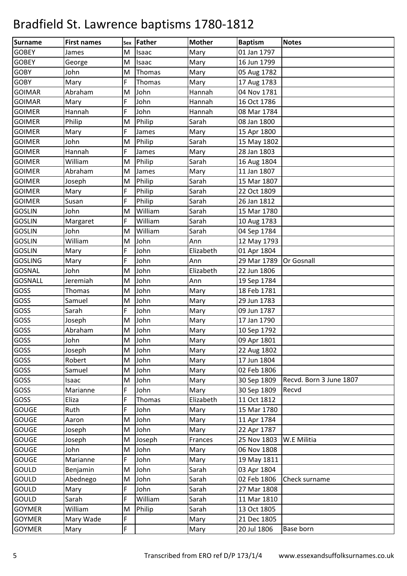| Surname        | <b>First names</b> | Sex | Father  | <b>Mother</b> | <b>Baptism</b> | <b>Notes</b>            |
|----------------|--------------------|-----|---------|---------------|----------------|-------------------------|
| <b>GOBEY</b>   | James              | M   | Isaac   | Mary          | 01 Jan 1797    |                         |
| <b>GOBEY</b>   | George             | M   | Isaac   | Mary          | 16 Jun 1799    |                         |
| <b>GOBY</b>    | John               | M   | Thomas  | Mary          | 05 Aug 1782    |                         |
| <b>GOBY</b>    | Mary               | F   | Thomas  | Mary          | 17 Aug 1783    |                         |
| <b>GOIMAR</b>  | Abraham            | M   | John    | Hannah        | 04 Nov 1781    |                         |
| <b>GOIMAR</b>  | Mary               | F   | John    | Hannah        | 16 Oct 1786    |                         |
| <b>GOIMER</b>  | Hannah             | F   | John    | Hannah        | 08 Mar 1784    |                         |
| <b>GOIMER</b>  | Philip             | M   | Philip  | Sarah         | 08 Jan 1800    |                         |
| <b>GOIMER</b>  | Mary               | F   | James   | Mary          | 15 Apr 1800    |                         |
| <b>GOIMER</b>  | John               | M   | Philip  | Sarah         | 15 May 1802    |                         |
| <b>GOIMER</b>  | Hannah             | F   | James   | Mary          | 28 Jan 1803    |                         |
| <b>GOIMER</b>  | William            | M   | Philip  | Sarah         | 16 Aug 1804    |                         |
| <b>GOIMER</b>  | Abraham            | M   | James   | Mary          | 11 Jan 1807    |                         |
| <b>GOIMER</b>  | Joseph             | M   | Philip  | Sarah         | 15 Mar 1807    |                         |
| <b>GOIMER</b>  | Mary               | F   | Philip  | Sarah         | 22 Oct 1809    |                         |
| <b>GOIMER</b>  | Susan              | F   | Philip  | Sarah         | 26 Jan 1812    |                         |
| <b>GOSLIN</b>  | John               | M   | William | Sarah         | 15 Mar 1780    |                         |
| <b>GOSLIN</b>  | Margaret           | F   | William | Sarah         | 10 Aug 1783    |                         |
| <b>GOSLIN</b>  | John               | M   | William | Sarah         | 04 Sep 1784    |                         |
| <b>GOSLIN</b>  | William            | M   | John    | Ann           | 12 May 1793    |                         |
| <b>GOSLIN</b>  | Mary               | F   | John    | Elizabeth     | 01 Apr 1804    |                         |
| <b>GOSLING</b> | Mary               | F   | John    | Ann           | 29 Mar 1789    | Or Gosnall              |
| <b>GOSNAL</b>  | John               | M   | John    | Elizabeth     | 22 Jun 1806    |                         |
| <b>GOSNALL</b> | Jeremiah           | M   | John    | Ann           | 19 Sep 1784    |                         |
| GOSS           | Thomas             | M   | John    | Mary          | 18 Feb 1781    |                         |
| GOSS           | Samuel             | M   | John    | Mary          | 29 Jun 1783    |                         |
| GOSS           | Sarah              | F   | John    | Mary          | 09 Jun 1787    |                         |
| GOSS           | Joseph             | M   | John    | Mary          | 17 Jan 1790    |                         |
| GOSS           | Abraham            | M   | John    | Mary          | 10 Sep 1792    |                         |
| <b>GOSS</b>    | John               | M   | John    | Mary          | 09 Apr 1801    |                         |
| GOSS           | Joseph             | М   | John    | Mary          | 22 Aug 1802    |                         |
| GOSS           | Robert             | M   | John    | Mary          | 17 Jun 1804    |                         |
| <b>GOSS</b>    | Samuel             | M   | John    | Mary          | 02 Feb 1806    |                         |
| GOSS           | Isaac              | M   | John    | Mary          | 30 Sep 1809    | Recvd. Born 3 June 1807 |
| GOSS           | Marianne           | F   | John    | Mary          | 30 Sep 1809    | Recvd                   |
| GOSS           | Eliza              | F   | Thomas  | Elizabeth     | 11 Oct 1812    |                         |
| <b>GOUGE</b>   | Ruth               | F   | John    | Mary          | 15 Mar 1780    |                         |
| <b>GOUGE</b>   | Aaron              | M   | John    | Mary          | 11 Apr 1784    |                         |
| <b>GOUGE</b>   | Joseph             | M   | John    | Mary          | 22 Apr 1787    |                         |
| <b>GOUGE</b>   | Joseph             | M   | Joseph  | Frances       | 25 Nov 1803    | W.E Militia             |
| <b>GOUGE</b>   | John               | M   | John    | Mary          | 06 Nov 1808    |                         |
| <b>GOUGE</b>   | Marianne           | F   | John    | Mary          | 19 May 1811    |                         |
| <b>GOULD</b>   | Benjamin           | M   | John    | Sarah         | 03 Apr 1804    |                         |
| <b>GOULD</b>   | Abednego           | M   | John    | Sarah         | 02 Feb 1806    | Check surname           |
| <b>GOULD</b>   | Mary               | F   | John    | Sarah         | 27 Mar 1808    |                         |
| <b>GOULD</b>   | Sarah              | F   | William | Sarah         | 11 Mar 1810    |                         |
| <b>GOYMER</b>  | William            | M   | Philip  | Sarah         | 13 Oct 1805    |                         |
| <b>GOYMER</b>  | Mary Wade          | F   |         | Mary          | 21 Dec 1805    |                         |
| <b>GOYMER</b>  | Mary               | F   |         | Mary          | 20 Jul 1806    | Base born               |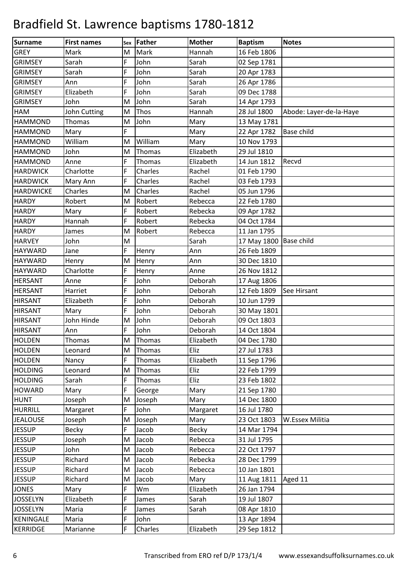| <b>Surname</b>   | <b>First names</b> | Sex | Father  | <b>Mother</b> | <b>Baptism</b> | <b>Notes</b>            |
|------------------|--------------------|-----|---------|---------------|----------------|-------------------------|
| <b>GREY</b>      | Mark               | M   | Mark    | Hannah        | 16 Feb 1806    |                         |
| <b>GRIMSEY</b>   | Sarah              | F   | John    | Sarah         | 02 Sep 1781    |                         |
| <b>GRIMSEY</b>   | Sarah              | F   | John    | Sarah         | 20 Apr 1783    |                         |
| <b>GRIMSEY</b>   | Ann                | F   | John    | Sarah         | 26 Apr 1786    |                         |
| <b>GRIMSEY</b>   | Elizabeth          | F   | John    | Sarah         | 09 Dec 1788    |                         |
| <b>GRIMSEY</b>   | John               | M   | John    | Sarah         | 14 Apr 1793    |                         |
| HAM              | John Cutting       | M   | Thos    | Hannah        | 28 Jul 1800    | Abode: Layer-de-la-Haye |
| <b>HAMMOND</b>   | Thomas             | M   | John    | Mary          | 13 May 1781    |                         |
| <b>HAMMOND</b>   | Mary               | F   |         | Mary          | 22 Apr 1782    | <b>Base child</b>       |
| <b>HAMMOND</b>   | William            | M   | William | Mary          | 10 Nov 1793    |                         |
| <b>HAMMOND</b>   | John               | M   | Thomas  | Elizabeth     | 29 Jul 1810    |                         |
| <b>HAMMOND</b>   | Anne               | F   | Thomas  | Elizabeth     | 14 Jun 1812    | Recvd                   |
| <b>HARDWICK</b>  | Charlotte          | F   | Charles | Rachel        | 01 Feb 1790    |                         |
| <b>HARDWICK</b>  | Mary Ann           | F   | Charles | Rachel        | 03 Feb 1793    |                         |
| <b>HARDWICKE</b> | Charles            | M   | Charles | Rachel        | 05 Jun 1796    |                         |
| <b>HARDY</b>     | Robert             | M   | Robert  | Rebecca       | 22 Feb 1780    |                         |
| <b>HARDY</b>     | Mary               | F   | Robert  | Rebecka       | 09 Apr 1782    |                         |
| <b>HARDY</b>     | Hannah             | F   | Robert  | Rebecka       | 04 Oct 1784    |                         |
| <b>HARDY</b>     | James              | M   | Robert  | Rebecca       | 11 Jan 1795    |                         |
| <b>HARVEY</b>    | John               | M   |         | Sarah         | 17 May 1800    | <b>Base child</b>       |
| <b>HAYWARD</b>   | Jane               | F   | Henry   | Ann           | 26 Feb 1809    |                         |
| <b>HAYWARD</b>   | Henry              | M   | Henry   | Ann           | 30 Dec 1810    |                         |
| <b>HAYWARD</b>   | Charlotte          | F   | Henry   | Anne          | 26 Nov 1812    |                         |
| <b>HERSANT</b>   | Anne               | F   | John    | Deborah       | 17 Aug 1806    |                         |
| <b>HERSANT</b>   | Harriet            | F   | John    | Deborah       | 12 Feb 1809    | See Hirsant             |
| <b>HIRSANT</b>   | Elizabeth          | F   | John    | Deborah       | 10 Jun 1799    |                         |
| <b>HIRSANT</b>   | Mary               | F   | John    | Deborah       | 30 May 1801    |                         |
| <b>HIRSANT</b>   | John Hinde         | M   | John    | Deborah       | 09 Oct 1803    |                         |
| <b>HIRSANT</b>   | Ann                | F   | John    | Deborah       | 14 Oct 1804    |                         |
| <b>HOLDEN</b>    | Thomas             | M   | Thomas  | Elizabeth     | 04 Dec 1780    |                         |
| <b>HOLDEN</b>    | Leonard            | M   | Thomas  | Eliz          | 27 Jul 1783    |                         |
| <b>HOLDEN</b>    | Nancy              | F   | Thomas  | Elizabeth     | 11 Sep 1796    |                         |
| <b>HOLDING</b>   | Leonard            | M   | Thomas  | Eliz          | 22 Feb 1799    |                         |
| <b>HOLDING</b>   | Sarah              | F   | Thomas  | Eliz          | 23 Feb 1802    |                         |
| <b>HOWARD</b>    | Mary               | F   | George  | Mary          | 21 Sep 1780    |                         |
| <b>HUNT</b>      | Joseph             | M   | Joseph  | Mary          | 14 Dec 1800    |                         |
| <b>HURRILL</b>   | Margaret           | F   | John    | Margaret      | 16 Jul 1780    |                         |
| <b>JEALOUSE</b>  | Joseph             | M   | Joseph  | Mary          | 23 Oct 1803    | W.Essex Militia         |
| <b>JESSUP</b>    | Becky              | F   | Jacob   | <b>Becky</b>  | 14 Mar 1794    |                         |
| <b>JESSUP</b>    | Joseph             | M   | Jacob   | Rebecca       | 31 Jul 1795    |                         |
| <b>JESSUP</b>    | John               | M   | Jacob   | Rebecca       | 22 Oct 1797    |                         |
| <b>JESSUP</b>    | Richard            | M   | Jacob   | Rebecka       | 28 Dec 1799    |                         |
| <b>JESSUP</b>    | Richard            | M   | Jacob   | Rebecca       | 10 Jan 1801    |                         |
| <b>JESSUP</b>    | Richard            | M   | Jacob   | Mary          | 11 Aug 1811    | Aged 11                 |
| <b>JONES</b>     | Mary               | F   | Wm      | Elizabeth     | 26 Jan 1794    |                         |
| <b>JOSSELYN</b>  | Elizabeth          | F   | James   | Sarah         | 19 Jul 1807    |                         |
| <b>JOSSELYN</b>  | Maria              | F   | James   | Sarah         | 08 Apr 1810    |                         |
| <b>KENINGALE</b> | Maria              | F   | John    |               | 13 Apr 1894    |                         |
| <b>KERRIDGE</b>  | Marianne           | F   | Charles | Elizabeth     | 29 Sep 1812    |                         |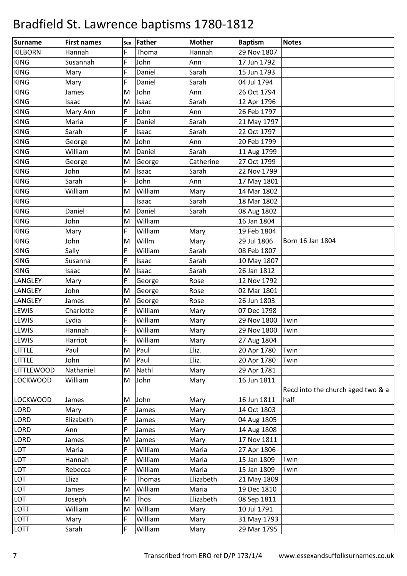| <b>Surname</b>    | <b>First names</b> | Sex | Father  | <b>Mother</b> | <b>Baptism</b> | <b>Notes</b>                      |
|-------------------|--------------------|-----|---------|---------------|----------------|-----------------------------------|
| <b>KILBORN</b>    | Hannah             | F   | Thoma   | Hannah        | 29 Nov 1807    |                                   |
| <b>KING</b>       | Susannah           | F   | John    | Ann           | 17 Jun 1792    |                                   |
| <b>KING</b>       | Mary               | F   | Daniel  | Sarah         | 15 Jun 1793    |                                   |
| <b>KING</b>       | Mary               | F   | Daniel  | Sarah         | 04 Jul 1794    |                                   |
| <b>KING</b>       | James              | M   | John    | Ann           | 26 Oct 1794    |                                   |
| <b>KING</b>       | Isaac              | M   | Isaac   | Sarah         | 12 Apr 1796    |                                   |
| <b>KING</b>       | Mary Ann           | F   | John    | Ann           | 26 Feb 1797    |                                   |
| <b>KING</b>       | Maria              | F   | Daniel  | Sarah         | 21 May 1797    |                                   |
| <b>KING</b>       | Sarah              | F   | Isaac   | Sarah         | 22 Oct 1797    |                                   |
| <b>KING</b>       | George             | M   | John    | Ann           | 20 Feb 1799    |                                   |
| <b>KING</b>       | William            | M   | Daniel  | Sarah         | 11 Aug 1799    |                                   |
| <b>KING</b>       | George             | M   | George  | Catherine     | 27 Oct 1799    |                                   |
| <b>KING</b>       | John               | M   | Isaac   | Sarah         | 22 Nov 1799    |                                   |
| <b>KING</b>       | Sarah              | F   | John    | Ann           | 17 May 1801    |                                   |
| <b>KING</b>       | William            | M   | William | Mary          | 14 Mar 1802    |                                   |
| <b>KING</b>       |                    |     | Isaac   | Sarah         | 18 Mar 1802    |                                   |
| <b>KING</b>       | Daniel             | M   | Daniel  | Sarah         | 08 Aug 1802    |                                   |
| <b>KING</b>       | John               | M   | William |               | 16 Jan 1804    |                                   |
| <b>KING</b>       | Mary               | F   | William | Mary          | 19 Feb 1804    |                                   |
| <b>KING</b>       | John               | M   | Willm   | Mary          | 29 Jul 1806    | Born 16 Jan 1804                  |
| <b>KING</b>       | Sally              | F   | William | Sarah         | 08 Feb 1807    |                                   |
| <b>KING</b>       | Susanna            | F   | Isaac   | Sarah         | 10 May 1807    |                                   |
| <b>KING</b>       | Isaac              | M   | Isaac   | Sarah         | 26 Jan 1812    |                                   |
| LANGLEY           | Mary               | F   | George  | Rose          | 12 Nov 1792    |                                   |
| LANGLEY           | John               | M   | George  | Rose          | 02 Mar 1801    |                                   |
| LANGLEY           | James              | M   | George  | Rose          | 26 Jun 1803    |                                   |
| LEWIS             | Charlotte          | F   | William | Mary          | 07 Dec 1798    |                                   |
| <b>LEWIS</b>      | Lydia              | F   | William | Mary          | 29 Nov 1800    | Twin                              |
| LEWIS             | Hannah             | F   | William | Mary          | 29 Nov 1800    | Twin                              |
| LEWIS             | Harriot            | F   | William | Mary          | 27 Aug 1804    |                                   |
| <b>LITTLE</b>     | Paul               | M   | Paul    | Eliz.         | 20 Apr 1780    | Twin                              |
| <b>LITTLE</b>     | John               | M   | Paul    | Eliz.         | 20 Apr 1780    | Twin                              |
| <b>LITTLEWOOD</b> | Nathaniel          | M   | Nathl   | Mary          | 29 Apr 1781    |                                   |
| <b>LOCKWOOD</b>   | William            | M   | John    | Mary          | 16 Jun 1811    |                                   |
|                   |                    |     |         |               |                | Recd into the church aged two & a |
| LOCKWOOD          | James              | M   | John    | Mary          | 16 Jun 1811    | half                              |
| <b>LORD</b>       | Mary               | F   | James   | Mary          | 14 Oct 1803    |                                   |
| LORD              | Elizabeth          | F   | James   | Mary          | 04 Aug 1805    |                                   |
| LORD              | Ann                | F   | James   | Mary          | 14 Aug 1808    |                                   |
| <b>LORD</b>       | James              | M   | James   | Mary          | 17 Nov 1811    |                                   |
| LOT               | Maria              | F   | William | Maria         | 27 Apr 1806    |                                   |
| LOT               | Hannah             | F   | William | Maria         | 15 Jan 1809    | Twin                              |
| LOT               | Rebecca            | F   | William | Maria         | 15 Jan 1809    | Twin                              |
| LOT               | Eliza              | F   | Thomas  | Elizabeth     | 21 May 1809    |                                   |
| LOT               | James              | M   | William | Maria         | 19 Dec 1810    |                                   |
| LOT               | Joseph             | M   | Thos    | Elizabeth     | 08 Sep 1811    |                                   |
| LOTT              | William            | M   | William | Mary          | 10 Jul 1791    |                                   |
| LOTT              | Mary               | F   | William | Mary          | 31 May 1793    |                                   |
| LOTT              | Sarah              | F   | William | Mary          | 29 Mar 1795    |                                   |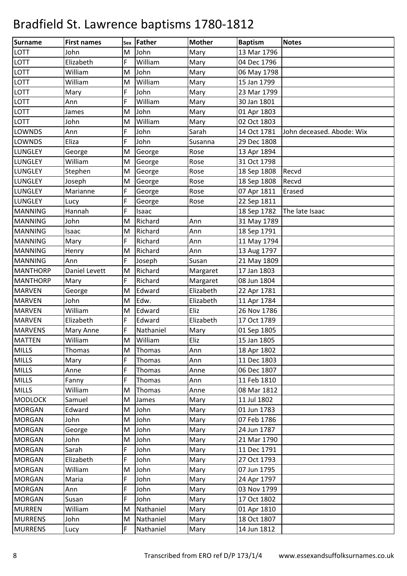| <b>Surname</b>  | <b>First names</b> | Sex | Father    | <b>Mother</b> | <b>Baptism</b> | <b>Notes</b>              |
|-----------------|--------------------|-----|-----------|---------------|----------------|---------------------------|
| <b>LOTT</b>     | John               | M   | John      | Mary          | 13 Mar 1796    |                           |
| LOTT            | Elizabeth          | F   | William   | Mary          | 04 Dec 1796    |                           |
| LOTT            | William            | M   | John      | Mary          | 06 May 1798    |                           |
| LOTT            | William            | M   | William   | Mary          | 15 Jan 1799    |                           |
| LOTT            | Mary               | F   | John      | Mary          | 23 Mar 1799    |                           |
| <b>LOTT</b>     | Ann                | F   | William   | Mary          | 30 Jan 1801    |                           |
| LOTT            | James              | M   | John      | Mary          | 01 Apr 1803    |                           |
| LOTT            | John               | M   | William   | Mary          | 02 Oct 1803    |                           |
| <b>LOWNDS</b>   | Ann                | F   | John      | Sarah         | 14 Oct 1781    | John deceased. Abode: Wix |
| <b>LOWNDS</b>   | Eliza              | F   | John      | Susanna       | 29 Dec 1808    |                           |
| <b>LUNGLEY</b>  | George             | M   | George    | Rose          | 13 Apr 1894    |                           |
| <b>LUNGLEY</b>  | William            | M   | George    | Rose          | 31 Oct 1798    |                           |
| <b>LUNGLEY</b>  | Stephen            | M   | George    | Rose          | 18 Sep 1808    | Recvd                     |
| <b>LUNGLEY</b>  | Joseph             | M   | George    | Rose          | 18 Sep 1808    | Recvd                     |
| <b>LUNGLEY</b>  | Marianne           | F   | George    | Rose          | 07 Apr 1811    | Erased                    |
| <b>LUNGLEY</b>  | Lucy               | F   | George    | Rose          | 22 Sep 1811    |                           |
| <b>MANNING</b>  | Hannah             | F   | Isaac     |               | 18 Sep 1782    | The late Isaac            |
| <b>MANNING</b>  | John               | M   | Richard   | Ann           | 31 May 1789    |                           |
| <b>MANNING</b>  | Isaac              | M   | Richard   | Ann           | 18 Sep 1791    |                           |
| <b>MANNING</b>  | Mary               | F   | Richard   | Ann           | 11 May 1794    |                           |
| <b>MANNING</b>  | Henry              | M   | Richard   | Ann           | 13 Aug 1797    |                           |
| <b>MANNING</b>  | Ann                | F   | Joseph    | Susan         | 21 May 1809    |                           |
| <b>MANTHORP</b> | Daniel Levett      | M   | Richard   | Margaret      | 17 Jan 1803    |                           |
| <b>MANTHORP</b> | Mary               | F   | Richard   | Margaret      | 08 Jun 1804    |                           |
| <b>MARVEN</b>   | George             | M   | Edward    | Elizabeth     | 22 Apr 1781    |                           |
| <b>MARVEN</b>   | John               | M   | Edw.      | Elizabeth     | 11 Apr 1784    |                           |
| <b>MARVEN</b>   | William            | M   | Edward    | Eliz          | 26 Nov 1786    |                           |
| <b>MARVEN</b>   | Elizabeth          | F   | Edward    | Elizabeth     | 17 Oct 1789    |                           |
| <b>MARVENS</b>  | Mary Anne          | F   | Nathaniel | Mary          | 01 Sep 1805    |                           |
| <b>MATTEN</b>   | William            | M   | William   | Eliz          | 15 Jan 1805    |                           |
| <b>MILLS</b>    | Thomas             | M   | Thomas    | Ann           | 18 Apr 1802    |                           |
| <b>MILLS</b>    | Mary               | F   | Thomas    | Ann           | 11 Dec 1803    |                           |
| <b>MILLS</b>    | Anne               | F   | Thomas    | Anne          | 06 Dec 1807    |                           |
| <b>MILLS</b>    | Fanny              | F   | Thomas    | Ann           | 11 Feb 1810    |                           |
| <b>MILLS</b>    | William            | M   | Thomas    | Anne          | 08 Mar 1812    |                           |
| <b>MODLOCK</b>  | Samuel             | M   | James     | Mary          | 11 Jul 1802    |                           |
| <b>MORGAN</b>   | Edward             | M   | John      | Mary          | 01 Jun 1783    |                           |
| <b>MORGAN</b>   | John               | M   | John      | Mary          | 07 Feb 1786    |                           |
| <b>MORGAN</b>   | George             | M   | John      | Mary          | 24 Jun 1787    |                           |
| <b>MORGAN</b>   | John               | M   | John      | Mary          | 21 Mar 1790    |                           |
| <b>MORGAN</b>   | Sarah              | F   | John      | Mary          | 11 Dec 1791    |                           |
| <b>MORGAN</b>   | Elizabeth          | F   | John      | Mary          | 27 Oct 1793    |                           |
| <b>MORGAN</b>   | William            | M   | John      | Mary          | 07 Jun 1795    |                           |
| <b>MORGAN</b>   | Maria              | F   | John      | Mary          | 24 Apr 1797    |                           |
| <b>MORGAN</b>   | Ann                | F   | John      | Mary          | 03 Nov 1799    |                           |
| <b>MORGAN</b>   | Susan              | F   | John      | Mary          | 17 Oct 1802    |                           |
| <b>MURREN</b>   | William            | M   | Nathaniel | Mary          | 01 Apr 1810    |                           |
| <b>MURRENS</b>  | John               | M   | Nathaniel | Mary          | 18 Oct 1807    |                           |
| <b>MURRENS</b>  | Lucy               | F   | Nathaniel | Mary          | 14 Jun 1812    |                           |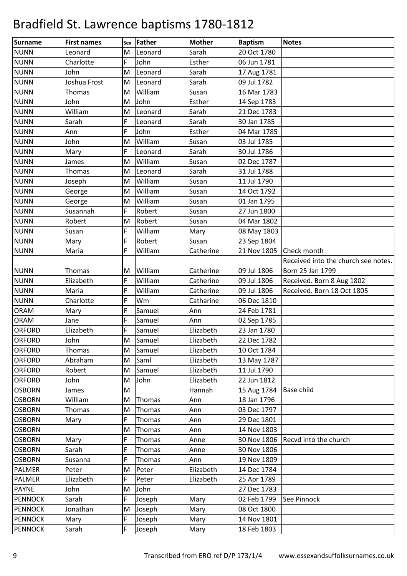| <b>Surname</b> |                      |        |                 |                        |                               |                                     |
|----------------|----------------------|--------|-----------------|------------------------|-------------------------------|-------------------------------------|
| <b>NUNN</b>    | <b>First names</b>   | Sex    | Father          | <b>Mother</b><br>Sarah | <b>Baptism</b><br>20 Oct 1780 | <b>Notes</b>                        |
| <b>NUNN</b>    | Leonard<br>Charlotte | M<br>F | Leonard<br>John | Esther                 | 06 Jun 1781                   |                                     |
| <b>NUNN</b>    | John                 | M      | Leonard         | Sarah                  |                               |                                     |
| <b>NUNN</b>    | Joshua Frost         | M      | Leonard         | Sarah                  | 17 Aug 1781<br>09 Jul 1782    |                                     |
| <b>NUNN</b>    | <b>Thomas</b>        | M      | William         | Susan                  | 16 Mar 1783                   |                                     |
| <b>NUNN</b>    | John                 | M      | John            | Esther                 | 14 Sep 1783                   |                                     |
| <b>NUNN</b>    | William              | M      | Leonard         | Sarah                  | 21 Dec 1783                   |                                     |
| <b>NUNN</b>    | Sarah                | F      | Leonard         | Sarah                  | 30 Jan 1785                   |                                     |
| <b>NUNN</b>    | Ann                  | F      | John            | Esther                 | 04 Mar 1785                   |                                     |
| <b>NUNN</b>    | John                 | M      | William         | Susan                  | 03 Jul 1785                   |                                     |
| <b>NUNN</b>    | Mary                 | F      | Leonard         | Sarah                  | 30 Jul 1786                   |                                     |
| <b>NUNN</b>    | James                | M      | William         | Susan                  | 02 Dec 1787                   |                                     |
| <b>NUNN</b>    | Thomas               | M      | Leonard         | Sarah                  | 31 Jul 1788                   |                                     |
| <b>NUNN</b>    | Joseph               | M      | William         | Susan                  | 11 Jul 1790                   |                                     |
| <b>NUNN</b>    | George               | M      | William         | Susan                  | 14 Oct 1792                   |                                     |
| <b>NUNN</b>    | George               | M      | William         | Susan                  | 01 Jan 1795                   |                                     |
| <b>NUNN</b>    | Susannah             | F      | Robert          | Susan                  | 27 Jun 1800                   |                                     |
| <b>NUNN</b>    | Robert               | M      | Robert          | Susan                  | 04 Mar 1802                   |                                     |
| <b>NUNN</b>    | Susan                | F      | William         | Mary                   | 08 May 1803                   |                                     |
| <b>NUNN</b>    | Mary                 | F      | Robert          | Susan                  | 23 Sep 1804                   |                                     |
| <b>NUNN</b>    | Maria                | F      | William         | Catherine              | 21 Nov 1805                   | Check month                         |
|                |                      |        |                 |                        |                               | Received into the church see notes. |
| <b>NUNN</b>    | Thomas               | M      | William         | Catherine              | 09 Jul 1806                   | Born 25 Jan 1799                    |
| <b>NUNN</b>    | Elizabeth            | F      | William         | Catherine              | 09 Jul 1806                   | Received. Born 8 Aug 1802           |
| <b>NUNN</b>    | Maria                | F      | William         | Catherine              | 09 Jul 1806                   | Received. Born 18 Oct 1805          |
| <b>NUNN</b>    | Charlotte            | F      | Wm              | Catharine              | 06 Dec 1810                   |                                     |
| <b>ORAM</b>    | Mary                 | F      | Samuel          | Ann                    | 24 Feb 1781                   |                                     |
| <b>ORAM</b>    | Jane                 | F      | Samuel          | Ann                    | 02 Sep 1785                   |                                     |
| <b>ORFORD</b>  | Elizabeth            | F      | Samuel          | Elizabeth              | 23 Jan 1780                   |                                     |
| <b>ORFORD</b>  | John                 | M      | Samuel          | Elizabeth              | 22 Dec 1782                   |                                     |
| ORFORD         | <b>Thomas</b>        | M      | Samuel          | Elizabeth              | 10 Oct 1784                   |                                     |
| <b>ORFORD</b>  | Abraham              | M      | Saml            | Elizabeth              | 13 May 1787                   |                                     |
| <b>ORFORD</b>  | Robert               | M      | Samuel          | Elizabeth              | 11 Jul 1790                   |                                     |
| <b>ORFORD</b>  | John                 | M      | John            | Elizabeth              | 22 Jun 1812                   |                                     |
| <b>OSBORN</b>  | James                | M      |                 | Hannah                 | 15 Aug 1784                   | <b>Base child</b>                   |
| <b>OSBORN</b>  | William              | M      | Thomas          | Ann                    | 18 Jan 1796                   |                                     |
| <b>OSBORN</b>  | <b>Thomas</b>        | M      | Thomas          | Ann                    | 03 Dec 1797                   |                                     |
| <b>OSBORN</b>  | Mary                 | F      | Thomas          | Ann                    | 29 Dec 1801                   |                                     |
| <b>OSBORN</b>  |                      | M      | Thomas          | Ann                    | 14 Nov 1803                   |                                     |
| <b>OSBORN</b>  | Mary                 | F      | Thomas          | Anne                   | 30 Nov 1806                   | Recvd into the church               |
| <b>OSBORN</b>  | Sarah                | F      | Thomas          | Anne                   | 30 Nov 1806                   |                                     |
| <b>OSBORN</b>  | Susanna              | F      | Thomas          | Ann                    | 19 Nov 1809                   |                                     |
| <b>PALMER</b>  | Peter                | M      | Peter           | Elizabeth              | 14 Dec 1784                   |                                     |
| <b>PALMER</b>  | Elizabeth            | F      | Peter           | Elizabeth              | 25 Apr 1789                   |                                     |
| <b>PAYNE</b>   | John                 | M      | John            |                        | 27 Dec 1783                   |                                     |
| <b>PENNOCK</b> | Sarah                | F      | Joseph          | Mary                   | 02 Feb 1799                   | See Pinnock                         |
| <b>PENNOCK</b> | Jonathan             | M      | Joseph          | Mary                   | 08 Oct 1800                   |                                     |
| <b>PENNOCK</b> | Mary                 | F      | Joseph          | Mary                   | 14 Nov 1801                   |                                     |
| <b>PENNOCK</b> | Sarah                | F      | Joseph          | Mary                   | 18 Feb 1803                   |                                     |
|                |                      |        |                 |                        |                               |                                     |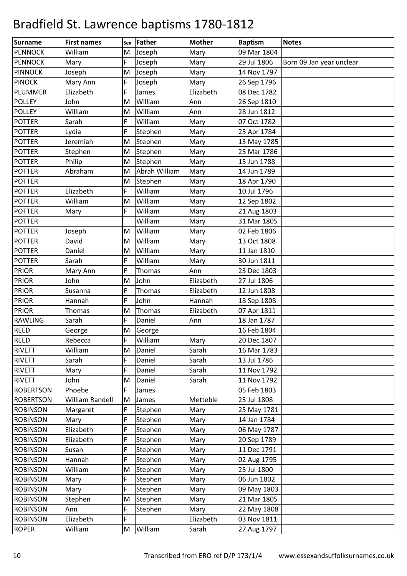| Surname          | <b>First names</b> | Sex | Father        | <b>Mother</b> | <b>Baptism</b> | <b>Notes</b>             |
|------------------|--------------------|-----|---------------|---------------|----------------|--------------------------|
| <b>PENNOCK</b>   | William            | M   | Joseph        | Mary          | 09 Mar 1804    |                          |
| <b>PENNOCK</b>   | Mary               | F   | Joseph        | Mary          | 29 Jul 1806    | Born 09 Jan year unclear |
| <b>PINNOCK</b>   | Joseph             | M   | Joseph        | Mary          | 14 Nov 1797    |                          |
| <b>PINOCK</b>    | Mary Ann           | F   | Joseph        | Mary          | 26 Sep 1796    |                          |
| PLUMMER          | Elizabeth          | F   | James         | Elizabeth     | 08 Dec 1782    |                          |
| <b>POLLEY</b>    | John               | M   | William       | Ann           | 26 Sep 1810    |                          |
| <b>POLLEY</b>    | William            | M   | William       | Ann           | 28 Jun 1812    |                          |
| <b>POTTER</b>    | Sarah              | F   | William       | Mary          | 07 Oct 1782    |                          |
| <b>POTTER</b>    | Lydia              | F   | Stephen       | Mary          | 25 Apr 1784    |                          |
| <b>POTTER</b>    | Jeremiah           | M   | Stephen       | Mary          | 13 May 1785    |                          |
| <b>POTTER</b>    | Stephen            | M   | Stephen       | Mary          | 25 Mar 1786    |                          |
| <b>POTTER</b>    | Philip             | M   | Stephen       | Mary          | 15 Jun 1788    |                          |
| <b>POTTER</b>    | Abraham            | M   | Abrah William | Mary          | 14 Jun 1789    |                          |
| <b>POTTER</b>    |                    | M   | Stephen       | Mary          | 18 Apr 1790    |                          |
| <b>POTTER</b>    | Elizabeth          | F   | William       | Mary          | 10 Jul 1796    |                          |
| <b>POTTER</b>    | William            | M   | William       | Mary          | 12 Sep 1802    |                          |
| <b>POTTER</b>    | Mary               | F   | William       | Mary          | 21 Aug 1803    |                          |
| <b>POTTER</b>    |                    |     | William       | Mary          | 31 Mar 1805    |                          |
| <b>POTTER</b>    | Joseph             | M   | William       | Mary          | 02 Feb 1806    |                          |
| <b>POTTER</b>    | David              | M   | William       | Mary          | 13 Oct 1808    |                          |
| <b>POTTER</b>    | Daniel             | M   | William       | Mary          | 11 Jan 1810    |                          |
| <b>POTTER</b>    | Sarah              | F   | William       | Mary          | 30 Jun 1811    |                          |
| <b>PRIOR</b>     | Mary Ann           | F   | Thomas        | Ann           | 23 Dec 1803    |                          |
| <b>PRIOR</b>     | John               | M   | John          | Elizabeth     | 27 Jul 1806    |                          |
| <b>PRIOR</b>     | Susanna            | F   | Thomas        | Elizabeth     | 12 Jun 1808    |                          |
| <b>PRIOR</b>     | Hannah             | F   | John          | Hannah        | 18 Sep 1808    |                          |
| <b>PRIOR</b>     | Thomas             | M   | Thomas        | Elizabeth     | 07 Apr 1811    |                          |
| <b>RAWLING</b>   | Sarah              | F   | Daniel        | Ann           | 18 Jan 1787    |                          |
| <b>REED</b>      | George             | M   | George        |               | 16 Feb 1804    |                          |
| <b>REED</b>      | Rebecca            | F   | William       | <b>Mary</b>   | 20 Dec 1807    |                          |
| <b>RIVETT</b>    | William            | M   | Daniel        | Sarah         | 16 Mar 1783    |                          |
| <b>RIVETT</b>    | Sarah              | F   | Daniel        | Sarah         | 13 Jul 1786    |                          |
| <b>RIVETT</b>    | Mary               | F   | Daniel        | Sarah         | 11 Nov 1792    |                          |
| <b>RIVETT</b>    | John               | M   | Daniel        | Sarah         | 11 Nov 1792    |                          |
| <b>ROBERTSON</b> | Phoebe             | F   | James         |               | 05 Feb 1803    |                          |
| <b>ROBERTSON</b> | William Randell    | M   | James         | Metteble      | 25 Jul 1808    |                          |
| <b>ROBINSON</b>  | Margaret           | F   | Stephen       | Mary          | 25 May 1781    |                          |
| <b>ROBINSON</b>  | Mary               | F   | Stephen       | Mary          | 14 Jan 1784    |                          |
| <b>ROBINSON</b>  | Elizabeth          | F   | Stephen       | Mary          | 06 May 1787    |                          |
| <b>ROBINSON</b>  | Elizabeth          | F   | Stephen       | Mary          | 20 Sep 1789    |                          |
| <b>ROBINSON</b>  | Susan              | F   | Stephen       | Mary          | 11 Dec 1791    |                          |
| <b>ROBINSON</b>  | Hannah             | F   | Stephen       | Mary          | 02 Aug 1795    |                          |
| <b>ROBINSON</b>  | William            | M   | Stephen       | Mary          | 25 Jul 1800    |                          |
| <b>ROBINSON</b>  | Mary               | F   | Stephen       | Mary          | 06 Jun 1802    |                          |
| <b>ROBINSON</b>  | Mary               | F   | Stephen       | Mary          | 09 May 1803    |                          |
| <b>ROBINSON</b>  | Stephen            | M   | Stephen       | Mary          | 21 Mar 1805    |                          |
| <b>ROBINSON</b>  | Ann                | F   | Stephen       | Mary          | 22 May 1808    |                          |
| <b>ROBINSON</b>  | Elizabeth          | F   |               | Elizabeth     | 03 Nov 1811    |                          |
| <b>ROPER</b>     | William            | M   | William       | Sarah         | 27 Aug 1797    |                          |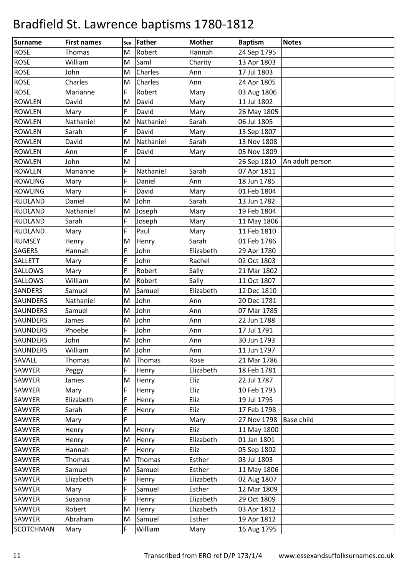| Surname          | <b>First names</b> |          | Father    | <b>Mother</b> | <b>Baptism</b> | <b>Notes</b>      |
|------------------|--------------------|----------|-----------|---------------|----------------|-------------------|
| <b>ROSE</b>      | Thomas             | Sex<br>M | Robert    | Hannah        | 24 Sep 1795    |                   |
| <b>ROSE</b>      | William            | M        | Saml      | Charity       | 13 Apr 1803    |                   |
| <b>ROSE</b>      | John               | M        | Charles   | Ann           | 17 Jul 1803    |                   |
| <b>ROSE</b>      | Charles            | M        | Charles   | Ann           | 24 Apr 1805    |                   |
| <b>ROSE</b>      | Marianne           | F        | Robert    | Mary          | 03 Aug 1806    |                   |
| <b>ROWLEN</b>    | David              | M        | David     | Mary          | 11 Jul 1802    |                   |
| <b>ROWLEN</b>    | Mary               | F        | David     | Mary          | 26 May 1805    |                   |
| <b>ROWLEN</b>    | Nathaniel          | M        | Nathaniel | Sarah         | 06 Jul 1805    |                   |
| <b>ROWLEN</b>    | Sarah              | F        | David     | Mary          | 13 Sep 1807    |                   |
| <b>ROWLEN</b>    | David              | M        | Nathaniel | Sarah         | 13 Nov 1808    |                   |
| <b>ROWLEN</b>    | Ann                | F        | David     | Mary          | 05 Nov 1809    |                   |
| <b>ROWLEN</b>    | John               | M        |           |               | 26 Sep 1810    | An adult person   |
| <b>ROWLEN</b>    | Marianne           | F        | Nathaniel | Sarah         | 07 Apr 1811    |                   |
| <b>ROWLING</b>   | Mary               | F        | Daniel    | Ann           | 18 Jun 1785    |                   |
| <b>ROWLING</b>   | Mary               | F        | David     | Mary          | 01 Feb 1804    |                   |
| <b>RUDLAND</b>   | Daniel             | M        | John      | Sarah         | 13 Jun 1782    |                   |
| <b>RUDLAND</b>   | Nathaniel          | M        | Joseph    | Mary          | 19 Feb 1804    |                   |
| <b>RUDLAND</b>   | Sarah              | F        | Joseph    | Mary          | 11 May 1806    |                   |
| <b>RUDLAND</b>   | Mary               | F        | Paul      | Mary          | 11 Feb 1810    |                   |
| <b>RUMSEY</b>    | Henry              | M        | Henry     | Sarah         | 01 Feb 1786    |                   |
| <b>SAGERS</b>    | Hannah             | F        | John      | Elizabeth     | 29 Apr 1780    |                   |
| <b>SALLETT</b>   | Mary               | F        | John      | Rachel        | 02 Oct 1803    |                   |
| <b>SALLOWS</b>   | Mary               | F        | Robert    | Sally         | 21 Mar 1802    |                   |
| <b>SALLOWS</b>   | William            | M        | Robert    | Sally         | 11 Oct 1807    |                   |
| <b>SANDERS</b>   | Samuel             | M        | Samuel    | Elizabeth     | 12 Dec 1810    |                   |
| <b>SAUNDERS</b>  | Nathaniel          | M        | John      | Ann           | 20 Dec 1781    |                   |
| <b>SAUNDERS</b>  | Samuel             | M        | John      | Ann           | 07 Mar 1785    |                   |
| <b>SAUNDERS</b>  | James              | M        | John      | Ann           | 22 Jun 1788    |                   |
| <b>SAUNDERS</b>  | Phoebe             | F        | John      | Ann           | 17 Jul 1791    |                   |
| <b>SAUNDERS</b>  | John               | M        | John      | Ann           | 30 Jun 1793    |                   |
| <b>SAUNDERS</b>  | William            | M        | John      | Ann           | 11 Jun 1797    |                   |
| SAVALL           | <b>Thomas</b>      | M        | Thomas    | Rose          | 21 Mar 1786    |                   |
| SAWYER           | Peggy              | F        | Henry     | Elizabeth     | 18 Feb 1781    |                   |
| <b>SAWYER</b>    | James              | M        | Henry     | Eliz          | 22 Jul 1787    |                   |
| SAWYER           | Mary               | F        | Henry     | Eliz          | 10 Feb 1793    |                   |
| SAWYER           | Elizabeth          | F        | Henry     | Eliz          | 19 Jul 1795    |                   |
| SAWYER           | Sarah              | F        | Henry     | Eliz          | 17 Feb 1798    |                   |
| SAWYER           | Mary               | F        |           | Mary          | 27 Nov 1798    | <b>Base child</b> |
| SAWYER           | Henry              | M        | Henry     | Eliz          | 11 May 1800    |                   |
| SAWYER           | Henry              | M        | Henry     | Elizabeth     | 01 Jan 1801    |                   |
| SAWYER           | Hannah             | F        | Henry     | Eliz          | 05 Sep 1802    |                   |
| SAWYER           | <b>Thomas</b>      | M        | Thomas    | Esther        | 03 Jul 1803    |                   |
| SAWYER           | Samuel             | M        | Samuel    | Esther        | 11 May 1806    |                   |
| SAWYER           | Elizabeth          | F        | Henry     | Elizabeth     | 02 Aug 1807    |                   |
| SAWYER           | Mary               | F        | Samuel    | Esther        | 12 Mar 1809    |                   |
| SAWYER           | Susanna            | F        | Henry     | Elizabeth     | 29 Oct 1809    |                   |
| SAWYER           | Robert             | M        | Henry     | Elizabeth     | 03 Apr 1812    |                   |
| SAWYER           | Abraham            | M        | Samuel    | Esther        | 19 Apr 1812    |                   |
| <b>SCOTCHMAN</b> | Mary               | F        | William   | Mary          | 16 Aug 1795    |                   |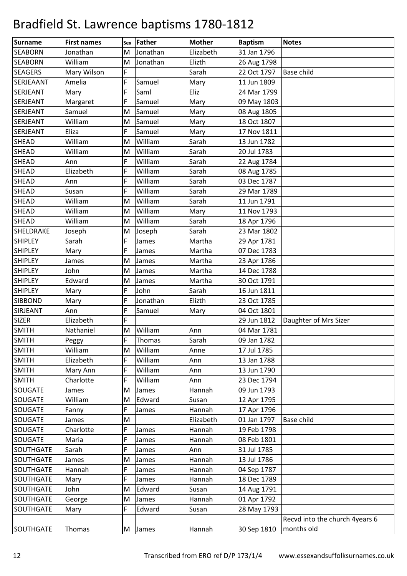| <b>Surname</b>   | <b>First names</b> | Sex | Father   | <b>Mother</b> | <b>Baptism</b> | <b>Notes</b>                   |
|------------------|--------------------|-----|----------|---------------|----------------|--------------------------------|
| <b>SEABORN</b>   | Jonathan           | M   | Jonathan | Elizabeth     | 31 Jan 1796    |                                |
| <b>SEABORN</b>   | William            | M   | Jonathan | Elizth        | 26 Aug 1798    |                                |
| <b>SEAGERS</b>   | Mary Wilson        | F   |          | Sarah         | 22 Oct 1797    | Base child                     |
| SERJEAANT        | Amelia             | F   | Samuel   | Mary          | 11 Jun 1809    |                                |
| <b>SERJEANT</b>  | Mary               | F   | Saml     | Eliz          | 24 Mar 1799    |                                |
| <b>SERJEANT</b>  | Margaret           | F   | Samuel   | Mary          | 09 May 1803    |                                |
| <b>SERJEANT</b>  | Samuel             | M   | Samuel   | Mary          | 08 Aug 1805    |                                |
| <b>SERJEANT</b>  | William            | M   | Samuel   | Mary          | 18 Oct 1807    |                                |
| SERJEANT         | Eliza              | F   | Samuel   | Mary          | 17 Nov 1811    |                                |
| <b>SHEAD</b>     | William            | M   | William  | Sarah         | 13 Jun 1782    |                                |
| <b>SHEAD</b>     | William            | M   | William  | Sarah         | 20 Jul 1783    |                                |
| <b>SHEAD</b>     | Ann                | F   | William  | Sarah         | 22 Aug 1784    |                                |
| <b>SHEAD</b>     | Elizabeth          | F   | William  | Sarah         | 08 Aug 1785    |                                |
| <b>SHEAD</b>     | Ann                | F   | William  | Sarah         | 03 Dec 1787    |                                |
| <b>SHEAD</b>     | Susan              | F   | William  | Sarah         | 29 Mar 1789    |                                |
| <b>SHEAD</b>     | William            | M   | William  | Sarah         | 11 Jun 1791    |                                |
| <b>SHEAD</b>     | William            | M   | William  | Mary          | 11 Nov 1793    |                                |
| <b>SHEAD</b>     | William            | M   | William  | Sarah         | 18 Apr 1796    |                                |
| SHELDRAKE        | Joseph             | M   | Joseph   | Sarah         | 23 Mar 1802    |                                |
| <b>SHIPLEY</b>   | Sarah              | F   | James    | Martha        | 29 Apr 1781    |                                |
| <b>SHIPLEY</b>   | Mary               | F   | James    | Martha        | 07 Dec 1783    |                                |
| <b>SHIPLEY</b>   | James              | M   | James    | Martha        | 23 Apr 1786    |                                |
| <b>SHIPLEY</b>   | John               | M   | James    | Martha        | 14 Dec 1788    |                                |
| <b>SHIPLEY</b>   | Edward             | M   | James    | Martha        | 30 Oct 1791    |                                |
| <b>SHIPLEY</b>   | Mary               | F   | John     | Sarah         | 16 Jun 1811    |                                |
| <b>SIBBOND</b>   | Mary               | F   | Jonathan | Elizth        | 23 Oct 1785    |                                |
| SIRJEANT         | Ann                | F   | Samuel   | Mary          | 04 Oct 1801    |                                |
| <b>SIZER</b>     | Elizabeth          | F   |          |               | 29 Jun 1812    | Daughter of Mrs Sizer          |
| <b>SMITH</b>     | Nathaniel          | M   | William  | Ann           | 04 Mar 1781    |                                |
| <b>SMITH</b>     | Peggy              | F.  | Thomas   | Sarah         | 09 Jan 1782    |                                |
| <b>SMITH</b>     | William            | М   | William  | Anne          | 17 Jul 1785    |                                |
| <b>SMITH</b>     | Elizabeth          | F   | William  | Ann           | 13 Jan 1788    |                                |
| <b>SMITH</b>     | Mary Ann           | F   | William  | Ann           | 13 Jun 1790    |                                |
| <b>SMITH</b>     | Charlotte          | F   | William  | Ann           | 23 Dec 1794    |                                |
| SOUGATE          | James              | M   | James    | Hannah        | 09 Jun 1793    |                                |
| <b>SOUGATE</b>   | William            | M   | Edward   | Susan         | 12 Apr 1795    |                                |
| <b>SOUGATE</b>   | Fanny              | F   | James    | Hannah        | 17 Apr 1796    |                                |
| <b>SOUGATE</b>   | James              | M   |          | Elizabeth     | 01 Jan 1797    | Base child                     |
| <b>SOUGATE</b>   | Charlotte          | F.  | James    | Hannah        | 19 Feb 1798    |                                |
| SOUGATE          | Maria              | F   | James    | Hannah        | 08 Feb 1801    |                                |
| SOUTHGATE        | Sarah              | F   | James    | Ann           | 31 Jul 1785    |                                |
| SOUTHGATE        | James              | M   | James    | Hannah        | 13 Jul 1786    |                                |
| <b>SOUTHGATE</b> | Hannah             | F   | James    | Hannah        | 04 Sep 1787    |                                |
| <b>SOUTHGATE</b> | Mary               | F   | James    | Hannah        | 18 Dec 1789    |                                |
| <b>SOUTHGATE</b> | John               | M   | Edward   | Susan         | 14 Aug 1791    |                                |
| SOUTHGATE        | George             | M   | James    | Hannah        | 01 Apr 1792    |                                |
| SOUTHGATE        | Mary               | F   | Edward   | Susan         | 28 May 1793    |                                |
|                  |                    |     |          |               |                | Recvd into the church 4years 6 |
| SOUTHGATE        | Thomas             |     | M James  | Hannah        | 30 Sep 1810    | months old                     |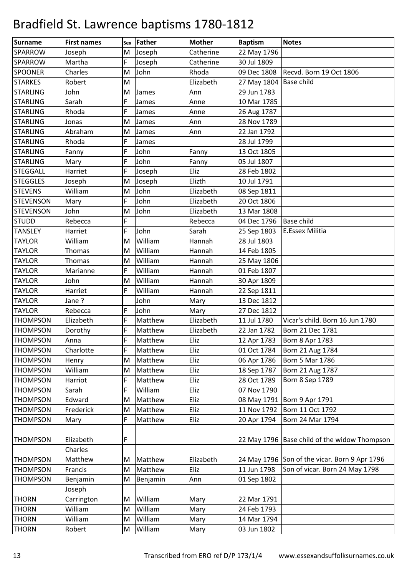| <b>Surname</b>   | <b>First names</b> |   | sex Father | <b>Mother</b> | <b>Baptism</b> | <b>Notes</b>                                  |
|------------------|--------------------|---|------------|---------------|----------------|-----------------------------------------------|
| <b>SPARROW</b>   | Joseph             | M | Joseph     | Catherine     | 22 May 1796    |                                               |
| <b>SPARROW</b>   | Martha             | F | Joseph     | Catherine     | 30 Jul 1809    |                                               |
| <b>SPOONER</b>   | Charles            | M | John       | Rhoda         | 09 Dec 1808    | Recvd. Born 19 Oct 1806                       |
| <b>STARKES</b>   | Robert             | M |            | Elizabeth     | 27 May 1804    | <b>Base child</b>                             |
| <b>STARLING</b>  | John               | M | James      | Ann           | 29 Jun 1783    |                                               |
| <b>STARLING</b>  | Sarah              | F | James      | Anne          | 10 Mar 1785    |                                               |
| <b>STARLING</b>  | Rhoda              | F | James      | Anne          | 26 Aug 1787    |                                               |
| <b>STARLING</b>  | Jonas              | M | James      | Ann           | 28 Nov 1789    |                                               |
| <b>STARLING</b>  | Abraham            | M | James      | Ann           | 22 Jan 1792    |                                               |
| <b>STARLING</b>  | Rhoda              | F | James      |               | 28 Jul 1799    |                                               |
| <b>STARLING</b>  | Fanny              | F | John       | Fanny         | 13 Oct 1805    |                                               |
| <b>STARLING</b>  | Mary               | F | John       | Fanny         | 05 Jul 1807    |                                               |
| <b>STEGGALL</b>  | Harriet            | F | Joseph     | Eliz          | 28 Feb 1802    |                                               |
| <b>STEGGLES</b>  | Joseph             | M | Joseph     | Elizth        | 10 Jul 1791    |                                               |
| <b>STEVENS</b>   | William            | M | John       | Elizabeth     | 08 Sep 1811    |                                               |
| <b>STEVENSON</b> | Mary               | F | John       | Elizabeth     | 20 Oct 1806    |                                               |
| <b>STEVENSON</b> | John               | M | John       | Elizabeth     | 13 Mar 1808    |                                               |
| <b>STUDD</b>     | Rebecca            | F |            | Rebecca       | 04 Dec 1796    | <b>Base child</b>                             |
| <b>TANSLEY</b>   | Harriet            | F | John       | Sarah         | 25 Sep 1803    | E.Essex Militia                               |
| <b>TAYLOR</b>    | William            | M | William    | Hannah        | 28 Jul 1803    |                                               |
| <b>TAYLOR</b>    | <b>Thomas</b>      | M | William    | Hannah        | 14 Feb 1805    |                                               |
| <b>TAYLOR</b>    | Thomas             | M | William    | Hannah        | 25 May 1806    |                                               |
| <b>TAYLOR</b>    | Marianne           | F | William    | Hannah        | 01 Feb 1807    |                                               |
| <b>TAYLOR</b>    | John               | M | William    | Hannah        | 30 Apr 1809    |                                               |
| <b>TAYLOR</b>    | Harriet            | F | William    | Hannah        | 22 Sep 1811    |                                               |
| <b>TAYLOR</b>    | Jane?              |   | John       | Mary          | 13 Dec 1812    |                                               |
| <b>TAYLOR</b>    | Rebecca            | F | John       | Mary          | 27 Dec 1812    |                                               |
| <b>THOMPSON</b>  | Elizabeth          | F | Matthew    | Elizabeth     | 11 Jul 1780    | Vicar's child. Born 16 Jun 1780               |
| <b>THOMPSON</b>  | Dorothy            | F | Matthew    | Elizabeth     | 22 Jan 1782    | Born 21 Dec 1781                              |
| <b>THOMPSON</b>  | Anna               | F | Matthew    | Eliz          | 12 Apr 1783    | Born 8 Apr 1783                               |
| <b>THOMPSON</b>  | Charlotte          | F | Matthew    | Eliz          | 01 Oct 1784    | Born 21 Aug 1784                              |
| <b>THOMPSON</b>  | Henry              | M | Matthew    | Eliz          | 06 Apr 1786    | Born 5 Mar 1786                               |
| <b>THOMPSON</b>  | William            | M | Matthew    | Eliz          | 18 Sep 1787    | Born 21 Aug 1787                              |
| <b>THOMPSON</b>  | Harriot            | F | Matthew    | Eliz          | 28 Oct 1789    | <b>Born 8 Sep 1789</b>                        |
| <b>THOMPSON</b>  | Sarah              | F | William    | Eliz          | 07 Nov 1790    |                                               |
| <b>THOMPSON</b>  | Edward             | M | Matthew    | Eliz          | 08 May 1791    | Born 9 Apr 1791                               |
| <b>THOMPSON</b>  | Frederick          | M | Matthew    | Eliz          | 11 Nov 1792    | Born 11 Oct 1792                              |
| <b>THOMPSON</b>  | Mary               | F | Matthew    | Eliz          | 20 Apr 1794    | Born 24 Mar 1794                              |
| <b>THOMPSON</b>  | Elizabeth          | F |            |               | 22 May 1796    | Base child of the widow Thompson              |
|                  | Charles            |   |            |               |                |                                               |
| <b>THOMPSON</b>  | Matthew            | M | Matthew    | Elizabeth     |                | 24 May 1796 Son of the vicar. Born 9 Apr 1796 |
| <b>THOMPSON</b>  | Francis            | M | Matthew    | Eliz          | 11 Jun 1798    | Son of vicar. Born 24 May 1798                |
| <b>THOMPSON</b>  | Benjamin           | M | Benjamin   | Ann           | 01 Sep 1802    |                                               |
|                  | Joseph             |   |            |               |                |                                               |
| <b>THORN</b>     | Carrington         | M | William    | Mary          | 22 Mar 1791    |                                               |
| <b>THORN</b>     | William            | M | William    | Mary          | 24 Feb 1793    |                                               |
| <b>THORN</b>     | William            | M | William    | Mary          | 14 Mar 1794    |                                               |
| <b>THORN</b>     | Robert             | M | William    | Mary          | 03 Jun 1802    |                                               |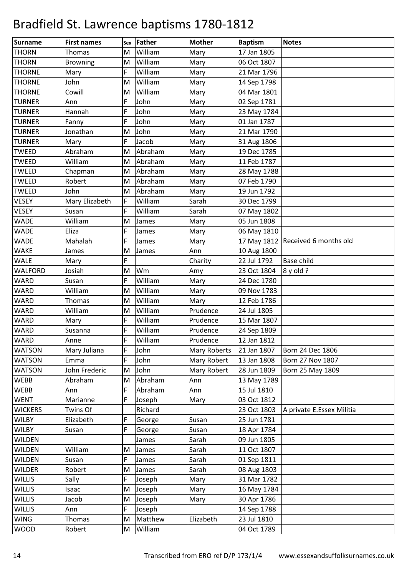| Surname        | <b>First names</b> | Sex | Father  | <b>Mother</b> | <b>Baptism</b> | <b>Notes</b>              |
|----------------|--------------------|-----|---------|---------------|----------------|---------------------------|
| <b>THORN</b>   | <b>Thomas</b>      | M   | William | Mary          | 17 Jan 1805    |                           |
| <b>THORN</b>   | <b>Browning</b>    | M   | William | Mary          | 06 Oct 1807    |                           |
| <b>THORNE</b>  | Mary               | F   | William | Mary          | 21 Mar 1796    |                           |
| <b>THORNE</b>  | John               | M   | William | Mary          | 14 Sep 1798    |                           |
| <b>THORNE</b>  | Cowill             | M   | William | Mary          | 04 Mar 1801    |                           |
| <b>TURNER</b>  | Ann                | F   | John    | Mary          | 02 Sep 1781    |                           |
| <b>TURNER</b>  | Hannah             | F   | John    | Mary          | 23 May 1784    |                           |
| <b>TURNER</b>  | Fanny              | F   | John    | Mary          | 01 Jan 1787    |                           |
| <b>TURNER</b>  | Jonathan           | M   | John    | Mary          | 21 Mar 1790    |                           |
| <b>TURNER</b>  | Mary               | F   | Jacob   | Mary          | 31 Aug 1806    |                           |
| <b>TWEED</b>   | Abraham            | M   | Abraham | Mary          | 19 Dec 1785    |                           |
| <b>TWEED</b>   | William            | M   | Abraham | Mary          | 11 Feb 1787    |                           |
| <b>TWEED</b>   | Chapman            | M   | Abraham | Mary          | 28 May 1788    |                           |
| <b>TWEED</b>   | Robert             | M   | Abraham | Mary          | 07 Feb 1790    |                           |
| <b>TWEED</b>   | John               | M   | Abraham | Mary          | 19 Jun 1792    |                           |
| <b>VESEY</b>   | Mary Elizabeth     | F   | William | Sarah         | 30 Dec 1799    |                           |
| <b>VESEY</b>   | Susan              | F   | William | Sarah         | 07 May 1802    |                           |
| <b>WADE</b>    | William            | M   | James   | Mary          | 05 Jun 1808    |                           |
| <b>WADE</b>    | Eliza              | F   | James   | Mary          | 06 May 1810    |                           |
| <b>WADE</b>    | Mahalah            | F   | James   | Mary          | 17 May 1812    | Received 6 months old     |
| <b>WAKE</b>    | James              | M   | James   | Ann           | 10 Aug 1800    |                           |
| <b>WALE</b>    | Mary               | F   |         | Charity       | 22 Jul 1792    | <b>Base child</b>         |
| <b>WALFORD</b> | Josiah             | M   | Wm      | Amy           | 23 Oct 1804    | $8$ y old ?               |
| <b>WARD</b>    | Susan              | F   | William | Mary          | 24 Dec 1780    |                           |
| WARD           | William            | M   | William | Mary          | 09 Nov 1783    |                           |
| <b>WARD</b>    | Thomas             | M   | William | Mary          | 12 Feb 1786    |                           |
| <b>WARD</b>    | William            | M   | William | Prudence      | 24 Jul 1805    |                           |
| WARD           | Mary               | F   | William | Prudence      | 15 Mar 1807    |                           |
| WARD           | Susanna            | F   | William | Prudence      | 24 Sep 1809    |                           |
| <b>WARD</b>    | Anne               | F   | William | Prudence      | 12 Jan 1812    |                           |
| <b>WATSON</b>  | Mary Juliana       | F   | John    | Mary Roberts  | 21 Jan 1807    | Born 24 Dec 1806          |
| <b>WATSON</b>  | Emma               | F   | John    | Mary Robert   | 13 Jan 1808    | Born 27 Nov 1807          |
| <b>WATSON</b>  | John Frederic      | M   | John    | Mary Robert   | 28 Jun 1809    | Born 25 May 1809          |
| <b>WEBB</b>    | Abraham            | M   | Abraham | Ann           | 13 May 1789    |                           |
| <b>WEBB</b>    | Ann                | F   | Abraham | Ann           | 15 Jul 1810    |                           |
| <b>WENT</b>    | Marianne           | F   | Joseph  | Mary          | 03 Oct 1812    |                           |
| <b>WICKERS</b> | Twins Of           |     | Richard |               | 23 Oct 1803    | A private E.Essex Militia |
| <b>WILBY</b>   | Elizabeth          | F   | George  | Susan         | 25 Jun 1781    |                           |
| <b>WILBY</b>   | Susan              | F   | George  | Susan         | 18 Apr 1784    |                           |
| <b>WILDEN</b>  |                    |     | James   | Sarah         | 09 Jun 1805    |                           |
| <b>WILDEN</b>  | William            | M   | James   | Sarah         | 11 Oct 1807    |                           |
| <b>WILDEN</b>  | Susan              | F   | James   | Sarah         | 01 Sep 1811    |                           |
| <b>WILDER</b>  | Robert             | M   | James   | Sarah         | 08 Aug 1803    |                           |
| <b>WILLIS</b>  | Sally              | F   | Joseph  | Mary          | 31 Mar 1782    |                           |
| <b>WILLIS</b>  | Isaac              | M   | Joseph  | Mary          | 16 May 1784    |                           |
| <b>WILLIS</b>  | Jacob              | M   | Joseph  | Mary          | 30 Apr 1786    |                           |
| <b>WILLIS</b>  | Ann                | F   | Joseph  |               | 14 Sep 1788    |                           |
| <b>WING</b>    | Thomas             | M   | Matthew | Elizabeth     | 23 Jul 1810    |                           |
| <b>WOOD</b>    | Robert             | M   | William |               | 04 Oct 1789    |                           |